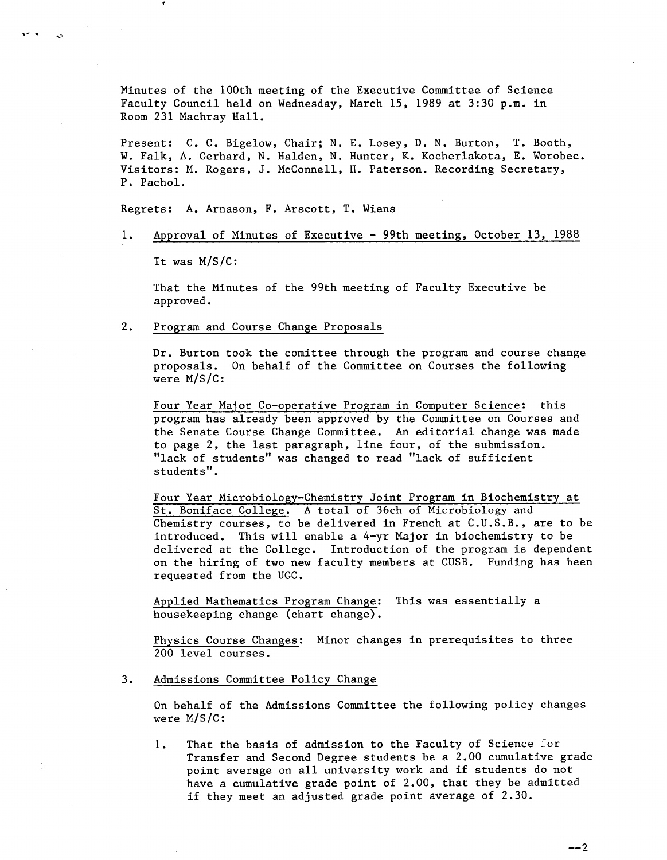Minutes of the 100th meeting of the Executive Committee of Science Faculty Council held on Wednesday, March 15, 1989 at 3:30 p.m. in Room 231 Machray Hall.

Present: C. C. Bigelow, Chair; N. E. Losey, D. N. Burton, T. Booth, W. Falk, A. Gerhard, N. Halden, N. Hunter, K. Kocherlakota, E. Worobec. Visitors: M. Rogers, J. McConnell, H. Paterson. Recording Secretary, P. Pachol.

Regrets: A. Arnason, F. Arscott, T. Wiens

 $1.$ Approval of Minutes of Executive - 99th meeting, October 13, 1988

It was M/S/C:

ria.

That the Minutes of the 99th meeting of Faculty Executive be approved.

 $2.$ Program and Course Change Proposals

> Dr. Burton took the comittee through the program and course change proposals. On behalf of the Committee on Courses the following were M/S/C:

Four Year Major Co-operative Program in Computer Science: this program has already been approved by the Committee on Courses and the Senate Course Change Committee. An editorial change was made to page 2, the last paragraph, line four, of the submission. "lack of students" was changed to read "lack of sufficient students".

Four Year Microbiology-Chemistry Joint Program in Biochemistry at St. Boniface College. A total of 36ch of Microbiology and Chemistry courses, to be delivered in French at C.U.S.B., are to be introduced. This will enable a 4-yr Major in biochemistry to be delivered at the College. Introduction of the program is dependent on the hiring of two new faculty members at CUSB. Funding has been requested from the UGC.

Applied Mathematics Program Change: This was essentially a housekeeping change (chart change).

Physics Course Changes: Minor changes in prerequisites to three 200 level courses.

 $3.$ Admissions Committee Policy Change

> On behalf of the Admissions Committee the following policy changes were M/S/C:

1. That the basis of admission to the Faculty of Science for Transfer and Second Degree students be a 2.00 cumulative grade point average on all university work and if students do not have a cumulative grade point of 2.00, that they be admitted if they meet an adjusted grade point average of 2.30.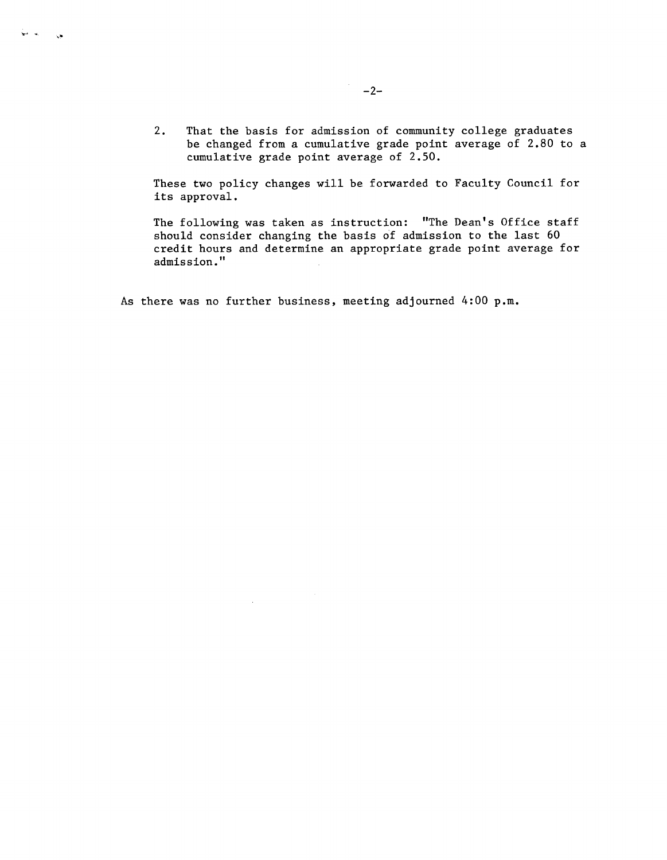2. That the basis for admission of community college graduates be changed from a cumulative grade point average of 2.80 to a cumulative grade point average of 2.50.

These two policy changes will be forwarded to Faculty Council for its approval.

The following was taken as instruction: "The Dean's Office staff should consider changing the basis of admission to the last 60 credit hours and determine an appropriate grade point average for admission."

As there was no further business, meeting adjourned 4:00 p.m.

بعيان المستقل